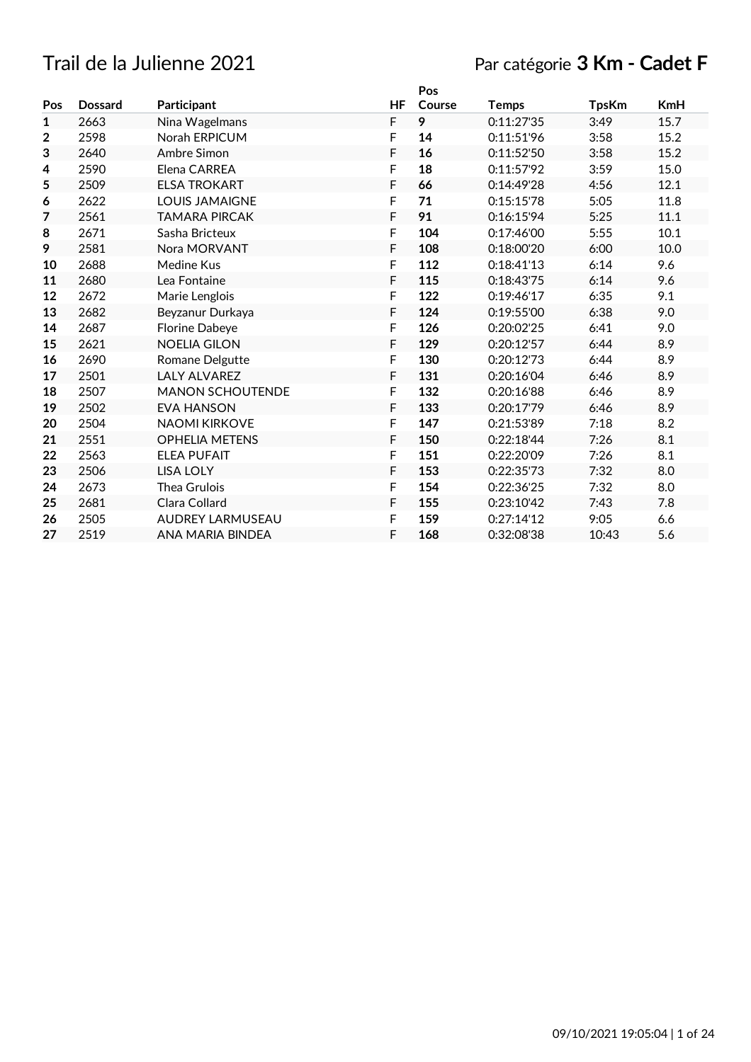## Trail de la Julienne 2021 Par catégorie **3 Km - Cadet F**

|     |                |                         |             | Pos    |              |              |            |
|-----|----------------|-------------------------|-------------|--------|--------------|--------------|------------|
| Pos | <b>Dossard</b> | Participant             | <b>HF</b>   | Course | <b>Temps</b> | <b>TpsKm</b> | <b>KmH</b> |
| 1   | 2663           | Nina Wagelmans          | F           | 9      | 0:11:27'35   | 3:49         | 15.7       |
| 2   | 2598           | Norah ERPICUM           | F           | 14     | 0:11:51'96   | 3:58         | 15.2       |
| з   | 2640           | Ambre Simon             | F           | 16     | 0:11:52'50   | 3:58         | 15.2       |
| 4   | 2590           | Elena CARREA            | F           | 18     | 0:11:57'92   | 3:59         | 15.0       |
| 5   | 2509           | <b>ELSA TROKART</b>     | F           | 66     | 0:14:49'28   | 4:56         | 12.1       |
| 6   | 2622           | <b>LOUIS JAMAIGNE</b>   | F           | 71     | 0:15:15'78   | 5:05         | 11.8       |
| 7   | 2561           | <b>TAMARA PIRCAK</b>    | $\mathsf F$ | 91     | 0:16:15'94   | 5:25         | 11.1       |
| 8   | 2671           | Sasha Bricteux          | F           | 104    | 0:17:46'00   | 5:55         | 10.1       |
| 9   | 2581           | Nora MORVANT            | F           | 108    | 0:18:00'20   | 6:00         | 10.0       |
| 10  | 2688           | Medine Kus              | $\mathsf F$ | 112    | 0:18:41'13   | 6:14         | 9.6        |
| 11  | 2680           | Lea Fontaine            | F           | 115    | 0:18:43'75   | 6:14         | 9.6        |
| 12  | 2672           | Marie Lenglois          | F           | 122    | 0:19:46'17   | 6:35         | 9.1        |
| 13  | 2682           | Beyzanur Durkaya        | F           | 124    | 0:19:55'00   | 6:38         | 9.0        |
| 14  | 2687           | Florine Dabeye          | F           | 126    | 0:20:02'25   | 6:41         | 9.0        |
| 15  | 2621           | <b>NOELIA GILON</b>     | F           | 129    | 0:20:12'57   | 6:44         | 8.9        |
| 16  | 2690           | Romane Delgutte         | F           | 130    | 0:20:12'73   | 6:44         | 8.9        |
| 17  | 2501           | <b>LALY ALVAREZ</b>     | F           | 131    | 0:20:16'04   | 6:46         | 8.9        |
| 18  | 2507           | <b>MANON SCHOUTENDE</b> | F           | 132    | 0:20:16'88   | 6:46         | 8.9        |
| 19  | 2502           | <b>EVA HANSON</b>       | F           | 133    | 0:20:17'79   | 6:46         | 8.9        |
| 20  | 2504           | <b>NAOMI KIRKOVE</b>    | F           | 147    | 0:21:53'89   | 7:18         | 8.2        |
| 21  | 2551           | <b>OPHELIA METENS</b>   | F           | 150    | 0:22:18'44   | 7:26         | 8.1        |
| 22  | 2563           | <b>ELEA PUFAIT</b>      | F           | 151    | 0:22:20'09   | 7:26         | 8.1        |
| 23  | 2506           | <b>LISA LOLY</b>        | F           | 153    | 0:22:35'73   | 7:32         | 8.0        |
| 24  | 2673           | Thea Grulois            | F           | 154    | 0:22:36'25   | 7:32         | 8.0        |
| 25  | 2681           | Clara Collard           | F           | 155    | 0:23:10'42   | 7:43         | 7.8        |
| 26  | 2505           | <b>AUDREY LARMUSEAU</b> | F           | 159    | 0:27:14'12   | 9:05         | 6.6        |
| 27  | 2519           | ANA MARIA BINDEA        | F           | 168    | 0:32:08'38   | 10:43        | 5.6        |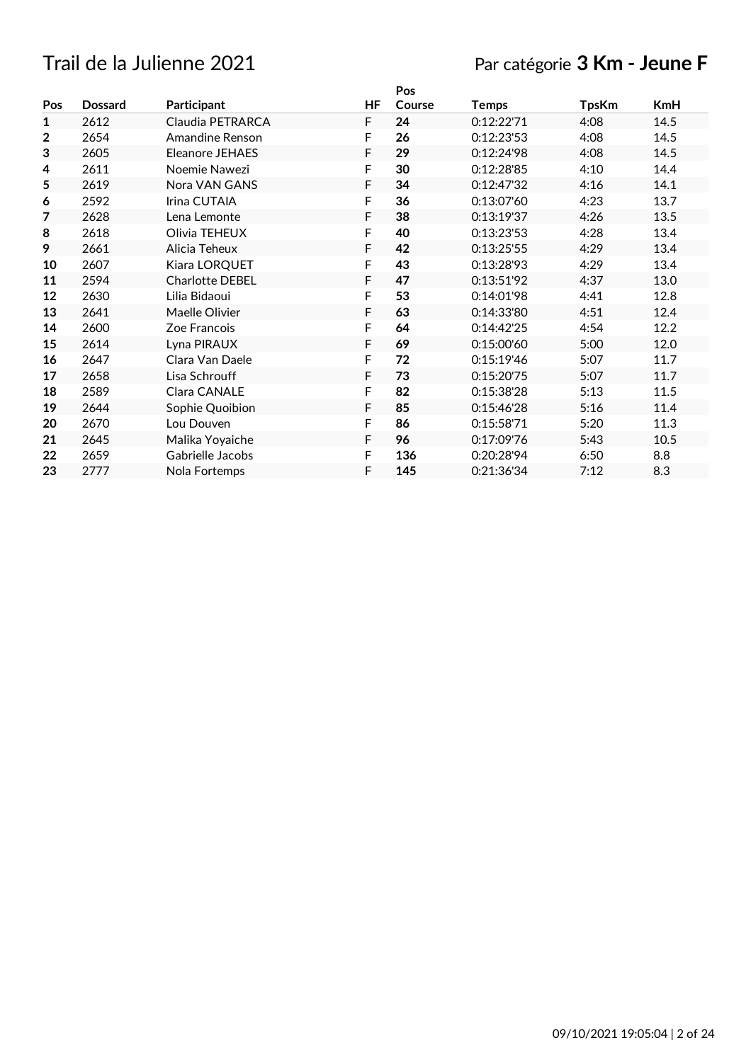## Trail de la Julienne 2021 Par catégorie **3 Km - Jeune F**

|                |                        |    | Pos    |              |              |            |
|----------------|------------------------|----|--------|--------------|--------------|------------|
| <b>Dossard</b> | Participant            | HF | Course | <b>Temps</b> | <b>TpsKm</b> | <b>KmH</b> |
| 2612           | Claudia PETRARCA       | F  | 24     | 0:12:22'71   | 4:08         | 14.5       |
| 2654           | Amandine Renson        | F  | 26     | 0:12:23'53   | 4:08         | 14.5       |
| 2605           | Eleanore JEHAES        | F  | 29     | 0:12:24'98   | 4:08         | 14.5       |
| 2611           | Noemie Nawezi          | F  | 30     | 0:12:28'85   | 4:10         | 14.4       |
| 2619           | Nora VAN GANS          | F  | 34     | 0:12:47'32   | 4:16         | 14.1       |
| 2592           | Irina CUTAIA           | F  | 36     | 0:13:07'60   | 4:23         | 13.7       |
| 2628           | Lena Lemonte           | F  | 38     | 0:13:19'37   | 4:26         | 13.5       |
| 2618           | Olivia TEHEUX          | F  | 40     | 0:13:23'53   | 4:28         | 13.4       |
| 2661           | Alicia Teheux          | F  | 42     | 0:13:25'55   | 4:29         | 13.4       |
| 2607           | Kiara LORQUET          | F  | 43     | 0:13:28'93   | 4:29         | 13.4       |
| 2594           | <b>Charlotte DEBEL</b> | F  | 47     | 0:13:51'92   | 4:37         | 13.0       |
| 2630           | Lilia Bidaoui          | F  | 53     | 0:14:01'98   | 4:41         | 12.8       |
| 2641           | Maelle Olivier         | F  | 63     | 0:14:33'80   | 4:51         | 12.4       |
| 2600           | Zoe Francois           | F  | 64     | 0:14:42'25   | 4:54         | 12.2       |
| 2614           | Lyna PIRAUX            | F  | 69     | 0:15:00'60   | 5:00         | 12.0       |
| 2647           | Clara Van Daele        | F  | 72     | 0:15:19'46   | 5:07         | 11.7       |
| 2658           | Lisa Schrouff          | F  | 73     | 0:15:20'75   | 5:07         | 11.7       |
| 2589           | Clara CANALE           | F  | 82     | 0:15:38'28   | 5:13         | 11.5       |
| 2644           | Sophie Quoibion        | F  | 85     | 0:15:46'28   | 5:16         | 11.4       |
| 2670           | Lou Douven             | F  | 86     | 0:15:58'71   | 5:20         | 11.3       |
| 2645           | Malika Yoyaiche        | F  | 96     | 0:17:09'76   | 5:43         | 10.5       |
| 2659           | Gabrielle Jacobs       | F  | 136    | 0:20:28'94   | 6:50         | 8.8        |
| 2777           | Nola Fortemps          | F  | 145    | 0:21:36'34   | 7:12         | 8.3        |
|                |                        |    |        |              |              |            |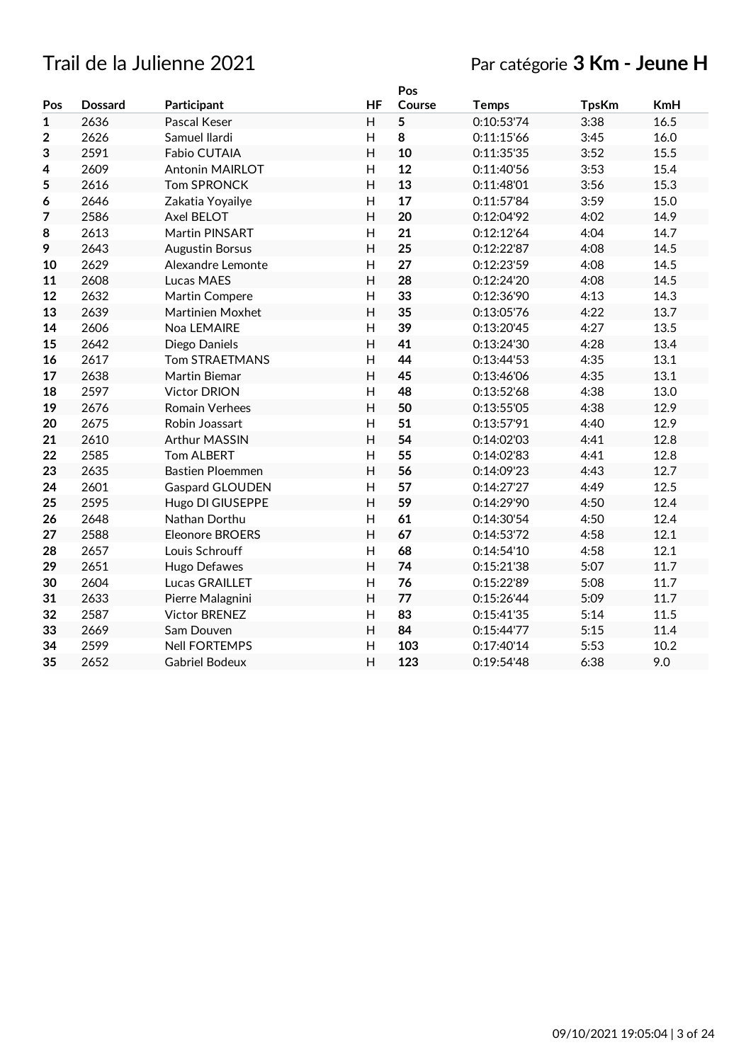## Trail de la Julienne 2021 Par catégorie **3 Km - Jeune H**

|              |                |                         |                | Pos    |              |              |            |
|--------------|----------------|-------------------------|----------------|--------|--------------|--------------|------------|
| Pos          | <b>Dossard</b> | Participant             | <b>HF</b>      | Course | <b>Temps</b> | <b>TpsKm</b> | <b>KmH</b> |
| $\mathbf{1}$ | 2636           | Pascal Keser            | H              | 5      | 0:10:53'74   | 3:38         | 16.5       |
| $\mathbf 2$  | 2626           | Samuel Ilardi           | H              | 8      | 0:11:15'66   | 3:45         | 16.0       |
| 3            | 2591           | Fabio CUTAIA            | H              | 10     | 0:11:35'35   | 3:52         | 15.5       |
| 4            | 2609           | Antonin MAIRLOT         | H              | 12     | 0:11:40'56   | 3:53         | 15.4       |
| 5            | 2616           | <b>Tom SPRONCK</b>      | H              | 13     | 0:11:48'01   | 3:56         | 15.3       |
| 6            | 2646           | Zakatia Yoyailye        | H              | 17     | 0:11:57'84   | 3:59         | 15.0       |
| 7            | 2586           | Axel BELOT              | H              | 20     | 0:12:04'92   | 4:02         | 14.9       |
| 8            | 2613           | Martin PINSART          | H              | 21     | 0:12:12'64   | 4:04         | 14.7       |
| 9            | 2643           | <b>Augustin Borsus</b>  | $\overline{H}$ | 25     | 0:12:22'87   | 4:08         | 14.5       |
| 10           | 2629           | Alexandre Lemonte       | H              | 27     | 0:12:23'59   | 4:08         | 14.5       |
| 11           | 2608           | Lucas MAES              | H              | 28     | 0:12:24'20   | 4:08         | 14.5       |
| 12           | 2632           | Martin Compere          | H              | 33     | 0:12:36'90   | 4:13         | 14.3       |
| 13           | 2639           | Martinien Moxhet        | H              | 35     | 0:13:05'76   | 4:22         | 13.7       |
| 14           | 2606           | Noa LEMAIRE             | H              | 39     | 0:13:20'45   | 4:27         | 13.5       |
| 15           | 2642           | Diego Daniels           | H              | 41     | 0:13:24'30   | 4:28         | 13.4       |
| 16           | 2617           | <b>Tom STRAETMANS</b>   | H              | 44     | 0:13:44'53   | 4:35         | 13.1       |
| 17           | 2638           | Martin Biemar           | H              | 45     | 0:13:46'06   | 4:35         | 13.1       |
| 18           | 2597           | <b>Victor DRION</b>     | H              | 48     | 0:13:52'68   | 4:38         | 13.0       |
| 19           | 2676           | Romain Verhees          | H              | 50     | 0:13:55'05   | 4:38         | 12.9       |
| 20           | 2675           | Robin Joassart          | H              | 51     | 0:13:57'91   | 4:40         | 12.9       |
| 21           | 2610           | <b>Arthur MASSIN</b>    | H              | 54     | 0:14:02'03   | 4:41         | 12.8       |
| 22           | 2585           | Tom ALBERT              | H              | 55     | 0:14:02'83   | 4:41         | 12.8       |
| 23           | 2635           | <b>Bastien Ploemmen</b> | H              | 56     | 0:14:09'23   | 4:43         | 12.7       |
| 24           | 2601           | Gaspard GLOUDEN         | H              | 57     | 0:14:27'27   | 4:49         | 12.5       |
| 25           | 2595           | Hugo DI GIUSEPPE        | H              | 59     | 0:14:29'90   | 4:50         | 12.4       |
| 26           | 2648           | Nathan Dorthu           | H              | 61     | 0:14:30'54   | 4:50         | 12.4       |
| 27           | 2588           | <b>Eleonore BROERS</b>  | H              | 67     | 0:14:53'72   | 4:58         | 12.1       |
| 28           | 2657           | Louis Schrouff          | H              | 68     | 0:14:54'10   | 4:58         | 12.1       |
| 29           | 2651           | Hugo Defawes            | H              | 74     | 0:15:21'38   | 5:07         | 11.7       |
| 30           | 2604           | Lucas GRAILLET          | H              | 76     | 0:15:22'89   | 5:08         | 11.7       |
| 31           | 2633           | Pierre Malagnini        | H              | 77     | 0:15:26'44   | 5:09         | 11.7       |
| 32           | 2587           | <b>Victor BRENEZ</b>    | H              | 83     | 0:15:41'35   | 5:14         | 11.5       |
| 33           | 2669           | Sam Douven              | $\overline{H}$ | 84     | 0:15:44'77   | 5:15         | 11.4       |
| 34           | 2599           | <b>Nell FORTEMPS</b>    | H              | 103    | 0:17:40'14   | 5:53         | 10.2       |
| 35           | 2652           | <b>Gabriel Bodeux</b>   | H              | 123    | 0:19:54'48   | 6:38         | 9.0        |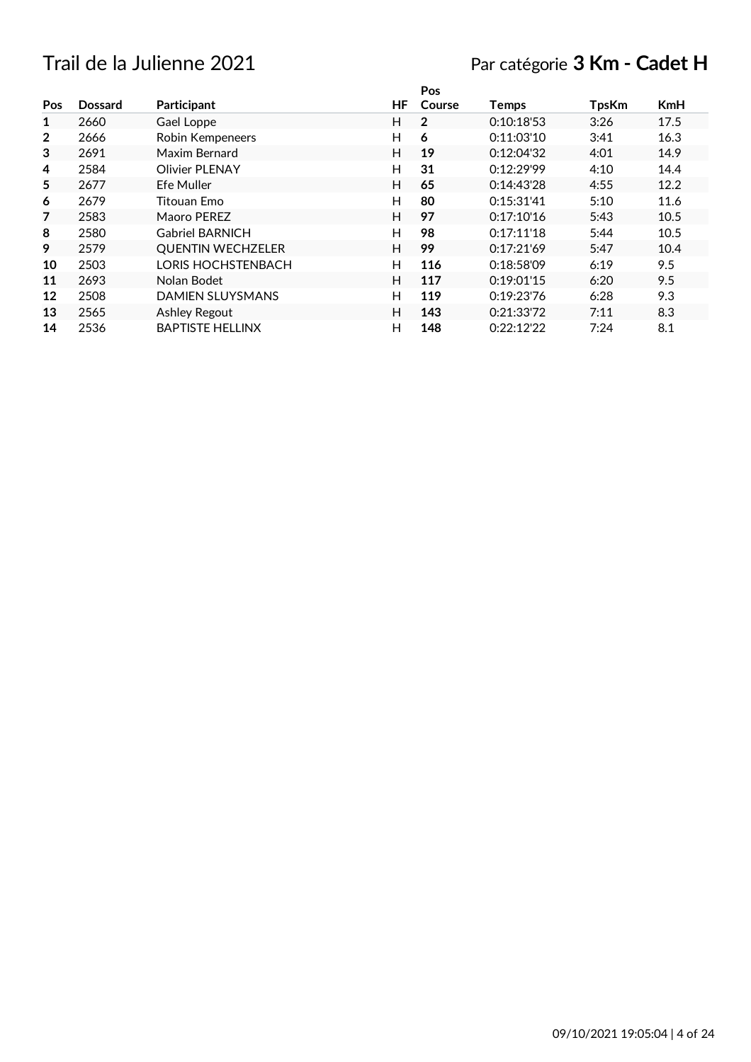## Trail de la Julienne 2021 Par catégorie **3 Km - Cadet H**

|                |                |                           |    | Pos          |              |              |            |
|----------------|----------------|---------------------------|----|--------------|--------------|--------------|------------|
| Pos            | <b>Dossard</b> | Participant               | HF | Course       | <b>Temps</b> | <b>TpsKm</b> | <b>KmH</b> |
| 1              | 2660           | Gael Loppe                | H  | $\mathbf{2}$ | 0:10:18:53   | 3:26         | 17.5       |
| $\overline{2}$ | 2666           | Robin Kempeneers          | Н  | 6            | 0:11:03'10   | 3:41         | 16.3       |
| 3              | 2691           | Maxim Bernard             | H  | 19           | 0:12:04'32   | 4:01         | 14.9       |
| 4              | 2584           | <b>Olivier PLENAY</b>     | H  | 31           | 0:12:29'99   | 4:10         | 14.4       |
| 5              | 2677           | Efe Muller                | H  | 65           | 0:14:43'28   | 4:55         | 12.2       |
| 6              | 2679           | Titouan Emo               | H  | 80           | 0:15:31'41   | 5:10         | 11.6       |
| 7              | 2583           | Maoro PEREZ               | H  | 97           | 0:17:10'16   | 5:43         | 10.5       |
| 8              | 2580           | <b>Gabriel BARNICH</b>    | H  | 98           | 0:17:11'18   | 5:44         | 10.5       |
| 9              | 2579           | <b>QUENTIN WECHZELER</b>  | H  | 99           | 0:17:21'69   | 5:47         | 10.4       |
| 10             | 2503           | <b>LORIS HOCHSTENBACH</b> | H  | 116          | 0:18:58'09   | 6:19         | 9.5        |
| 11             | 2693           | Nolan Bodet               | H  | 117          | 0:19:01'15   | 6:20         | 9.5        |
| 12             | 2508           | <b>DAMIEN SLUYSMANS</b>   | H  | 119          | 0:19:23'76   | 6:28         | 9.3        |
| 13             | 2565           | Ashley Regout             | H  | 143          | 0:21:33'72   | 7:11         | 8.3        |
| 14             | 2536           | <b>BAPTISTE HELLINX</b>   | н  | 148          | 0:22:12'22   | 7:24         | 8.1        |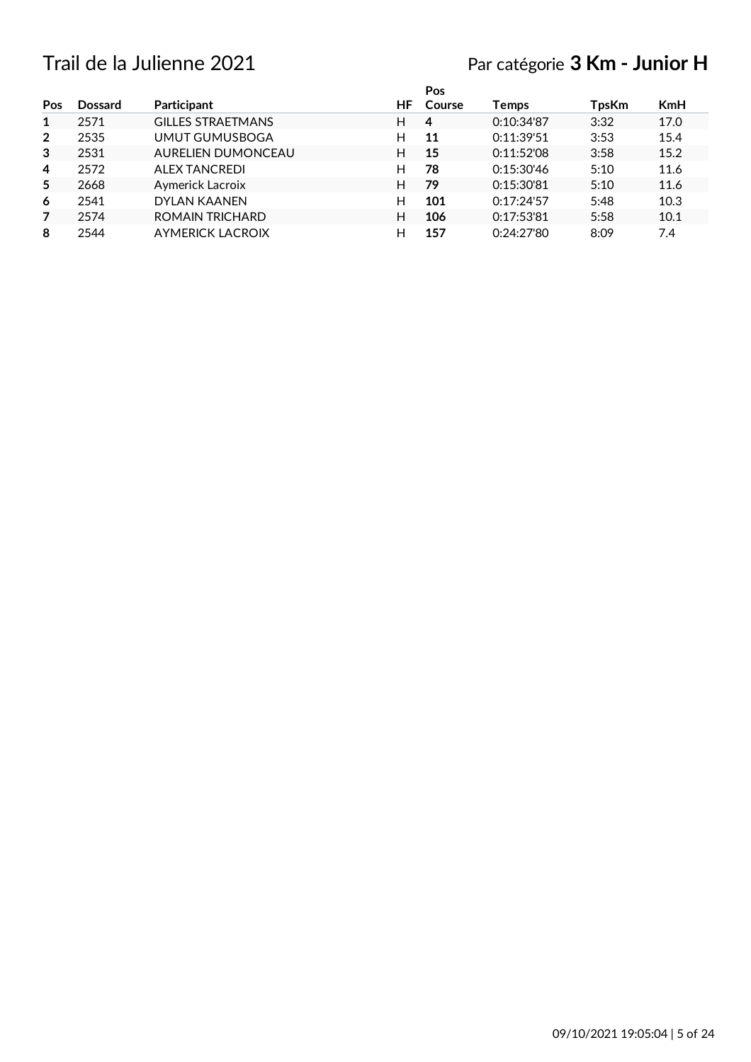# Trail de la Julienne 2021 Par catégorie **3 Km - Junior H**

|                |                |                          |     | Pos    |            |       |            |
|----------------|----------------|--------------------------|-----|--------|------------|-------|------------|
| Pos            | <b>Dossard</b> | Participant              | HF. | Course | Temps      | TpsKm | <b>KmH</b> |
| 1              | 2571           | <b>GILLES STRAETMANS</b> | н   | 4      | 0:10:34'87 | 3:32  | 17.0       |
| $\overline{2}$ | 2535           | UMUT GUMUSBOGA           | н   | 11     | 0:11:39'51 | 3:53  | 15.4       |
| 3              | 2531           | AURELIEN DUMONCEAU       | н   | 15     | 0:11:52'08 | 3:58  | 15.2       |
| 4              | 2572           | <b>ALEX TANCREDI</b>     | н   | 78     | 0:15:30'46 | 5:10  | 11.6       |
| 5              | 2668           | Aymerick Lacroix         | н   | 79     | 0:15:30'81 | 5:10  | 11.6       |
| 6              | 2541           | DYLAN KAANEN             | H   | 101    | 0:17:24'57 | 5:48  | 10.3       |
| 7              | 2574           | <b>ROMAIN TRICHARD</b>   | н   | 106    | 0:17:53'81 | 5:58  | 10.1       |
| 8              | 2544           | <b>AYMERICK LACROIX</b>  | Н   | 157    | 0:24:27'80 | 8:09  | 7.4        |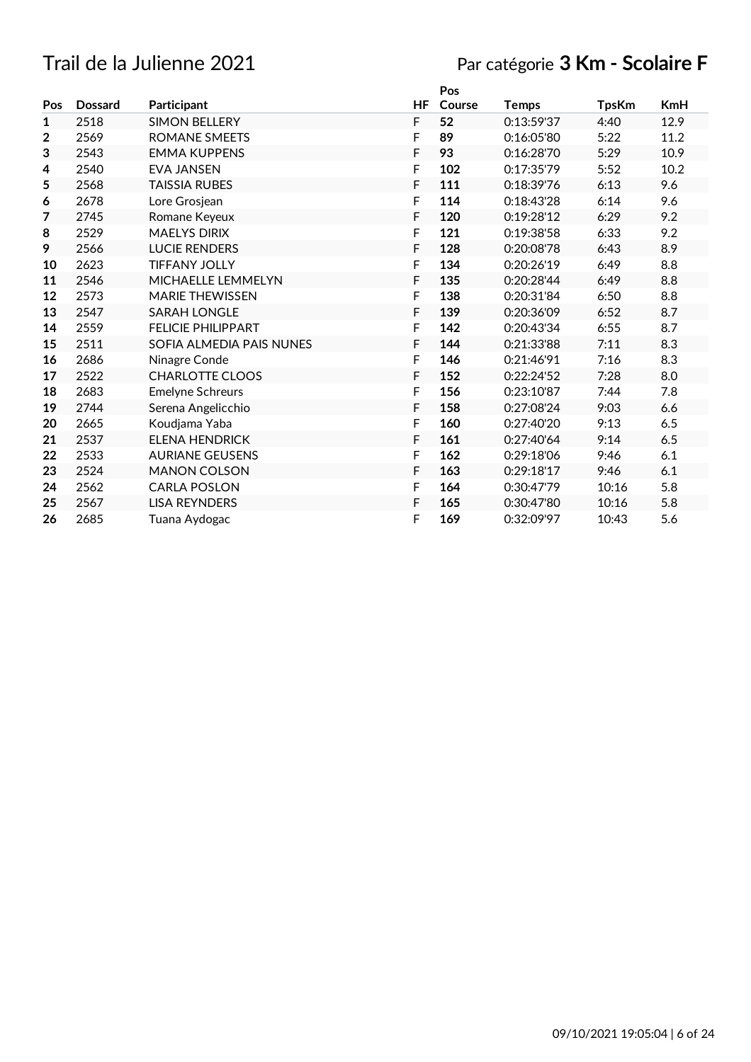# Trail de la Julienne 2021 Par catégorie **3 Km - Scolaire F**

|              |                |                           |    | Pos    |              |              |         |
|--------------|----------------|---------------------------|----|--------|--------------|--------------|---------|
| Pos          | <b>Dossard</b> | Participant               | HF | Course | <b>Temps</b> | <b>TpsKm</b> | KmH     |
| $\mathbf{1}$ | 2518           | <b>SIMON BELLERY</b>      | F  | 52     | 0:13:59'37   | 4:40         | 12.9    |
| $\mathbf{2}$ | 2569           | <b>ROMANE SMEETS</b>      | F  | 89     | 0:16:05'80   | 5:22         | 11.2    |
| 3            | 2543           | <b>EMMA KUPPENS</b>       | F  | 93     | 0:16:28'70   | 5:29         | 10.9    |
| 4            | 2540           | <b>EVA JANSEN</b>         | F  | 102    | 0:17:35'79   | 5:52         | 10.2    |
| 5            | 2568           | TAISSIA RUBES             | F  | 111    | 0:18:39'76   | 6:13         | 9.6     |
| 6            | 2678           | Lore Grosjean             | F  | 114    | 0:18:43'28   | 6:14         | 9.6     |
| 7            | 2745           | Romane Keyeux             | F  | 120    | 0:19:28'12   | 6:29         | 9.2     |
| 8            | 2529           | <b>MAELYS DIRIX</b>       | F  | 121    | 0:19:38'58   | 6:33         | 9.2     |
| 9            | 2566           | <b>LUCIE RENDERS</b>      | F  | 128    | 0:20:08'78   | 6:43         | 8.9     |
| 10           | 2623           | <b>TIFFANY JOLLY</b>      | F  | 134    | 0:20:26'19   | 6:49         | 8.8     |
| 11           | 2546           | MICHAELLE LEMMELYN        | F  | 135    | 0:20:28'44   | 6:49         | 8.8     |
| 12           | 2573           | <b>MARIE THEWISSEN</b>    | F  | 138    | 0:20:31'84   | 6:50         | $8.8\,$ |
| 13           | 2547           | <b>SARAH LONGLE</b>       | F  | 139    | 0:20:36'09   | 6:52         | 8.7     |
| 14           | 2559           | <b>FELICIE PHILIPPART</b> | F  | 142    | 0:20:43'34   | 6:55         | 8.7     |
| 15           | 2511           | SOFIA ALMEDIA PAIS NUNES  | F  | 144    | 0:21:33'88   | 7:11         | 8.3     |
| 16           | 2686           | Ninagre Conde             | F  | 146    | 0:21:46'91   | 7:16         | 8.3     |
| 17           | 2522           | <b>CHARLOTTE CLOOS</b>    | F  | 152    | 0:22:24'52   | 7:28         | 8.0     |
| 18           | 2683           | <b>Emelyne Schreurs</b>   | F  | 156    | 0:23:10'87   | 7:44         | 7.8     |
| 19           | 2744           | Serena Angelicchio        | F  | 158    | 0:27:08'24   | 9:03         | 6.6     |
| 20           | 2665           | Koudjama Yaba             | F  | 160    | 0:27:40'20   | 9:13         | 6.5     |
| 21           | 2537           | <b>ELENA HENDRICK</b>     | F  | 161    | 0:27:40'64   | 9:14         | 6.5     |
| 22           | 2533           | <b>AURIANE GEUSENS</b>    | F  | 162    | 0:29:18'06   | 9:46         | 6.1     |
| 23           | 2524           | <b>MANON COLSON</b>       | F  | 163    | 0:29:18'17   | 9:46         | 6.1     |
| 24           | 2562           | <b>CARLA POSLON</b>       | F  | 164    | 0:30:47'79   | 10:16        | 5.8     |
| 25           | 2567           | <b>LISA REYNDERS</b>      | F  | 165    | 0:30:47'80   | 10:16        | 5.8     |
| 26           | 2685           | Tuana Aydogac             | F  | 169    | 0:32:09'97   | 10:43        | 5.6     |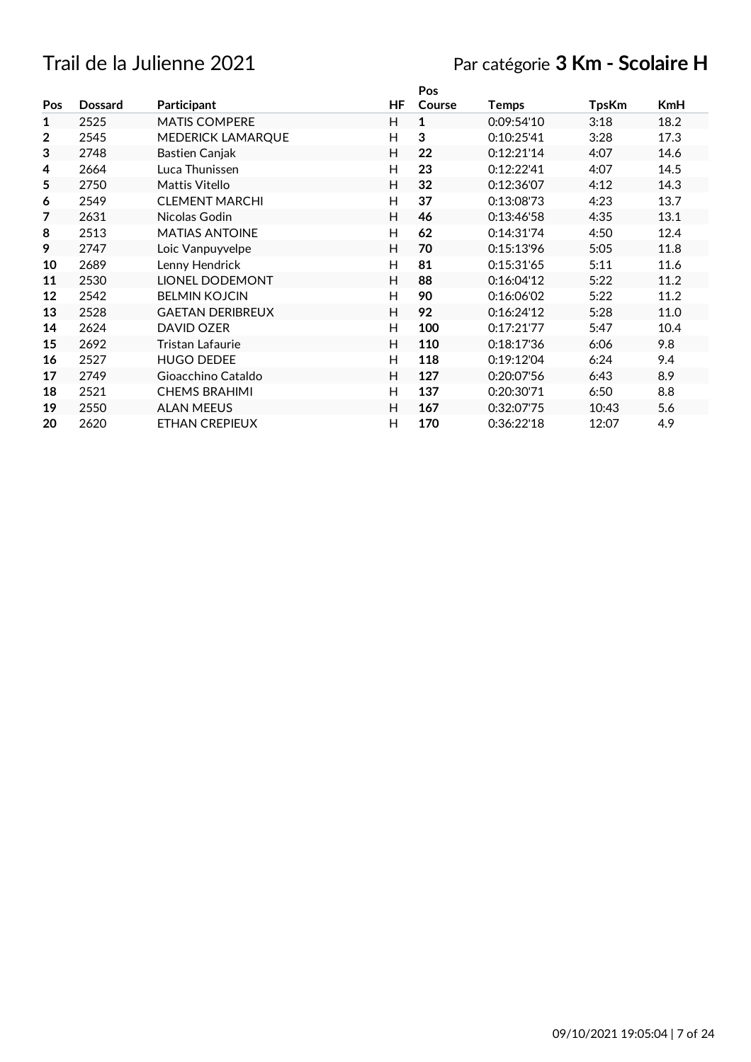## Trail de la Julienne 2021 Par catégorie **3 Km - Scolaire H**

|              |                |                         |    | Pos    |            |              |      |
|--------------|----------------|-------------------------|----|--------|------------|--------------|------|
| Pos          | <b>Dossard</b> | Participant             | HF | Course | Temps      | <b>TpsKm</b> | KmH  |
| 1            | 2525           | <b>MATIS COMPERE</b>    | H  | 1      | 0:09:54'10 | 3:18         | 18.2 |
| $\mathbf{2}$ | 2545           | MEDERICK LAMARQUE       | H  | 3      | 0:10:25'41 | 3:28         | 17.3 |
| 3            | 2748           | Bastien Canjak          | Н  | 22     | 0:12:21'14 | 4:07         | 14.6 |
| 4            | 2664           | Luca Thunissen          | Н  | 23     | 0:12:22'41 | 4:07         | 14.5 |
| 5            | 2750           | Mattis Vitello          | H  | 32     | 0:12:36'07 | 4:12         | 14.3 |
| 6            | 2549           | <b>CLEMENT MARCHI</b>   | H  | 37     | 0:13:08'73 | 4:23         | 13.7 |
| 7            | 2631           | Nicolas Godin           | Н  | 46     | 0:13:46'58 | 4:35         | 13.1 |
| 8            | 2513           | <b>MATIAS ANTOINE</b>   | Н  | 62     | 0:14:31'74 | 4:50         | 12.4 |
| 9            | 2747           | Loic Vanpuyvelpe        | Н  | 70     | 0:15:13'96 | 5:05         | 11.8 |
| 10           | 2689           | Lenny Hendrick          | H  | 81     | 0:15:31'65 | 5:11         | 11.6 |
| 11           | 2530           | <b>LIONEL DODEMONT</b>  | H  | 88     | 0:16:04'12 | 5:22         | 11.2 |
| 12           | 2542           | <b>BELMIN KOJCIN</b>    | H  | 90     | 0:16:06'02 | 5:22         | 11.2 |
| 13           | 2528           | <b>GAETAN DERIBREUX</b> | H  | 92     | 0:16:24'12 | 5:28         | 11.0 |
| 14           | 2624           | DAVID OZER              | H  | 100    | 0:17:21'77 | 5:47         | 10.4 |
| 15           | 2692           | Tristan Lafaurie        | H  | 110    | 0:18:17'36 | 6:06         | 9.8  |
| 16           | 2527           | <b>HUGO DEDEE</b>       | H  | 118    | 0:19:12'04 | 6:24         | 9.4  |
| 17           | 2749           | Gioacchino Cataldo      | Н  | 127    | 0:20:07'56 | 6:43         | 8.9  |
| 18           | 2521           | <b>CHEMS BRAHIMI</b>    | H  | 137    | 0:20:30'71 | 6:50         | 8.8  |
| 19           | 2550           | <b>ALAN MEEUS</b>       | H  | 167    | 0:32:07'75 | 10:43        | 5.6  |
| 20           | 2620           | <b>ETHAN CREPIEUX</b>   | Η  | 170    | 0:36:22'18 | 12:07        | 4.9  |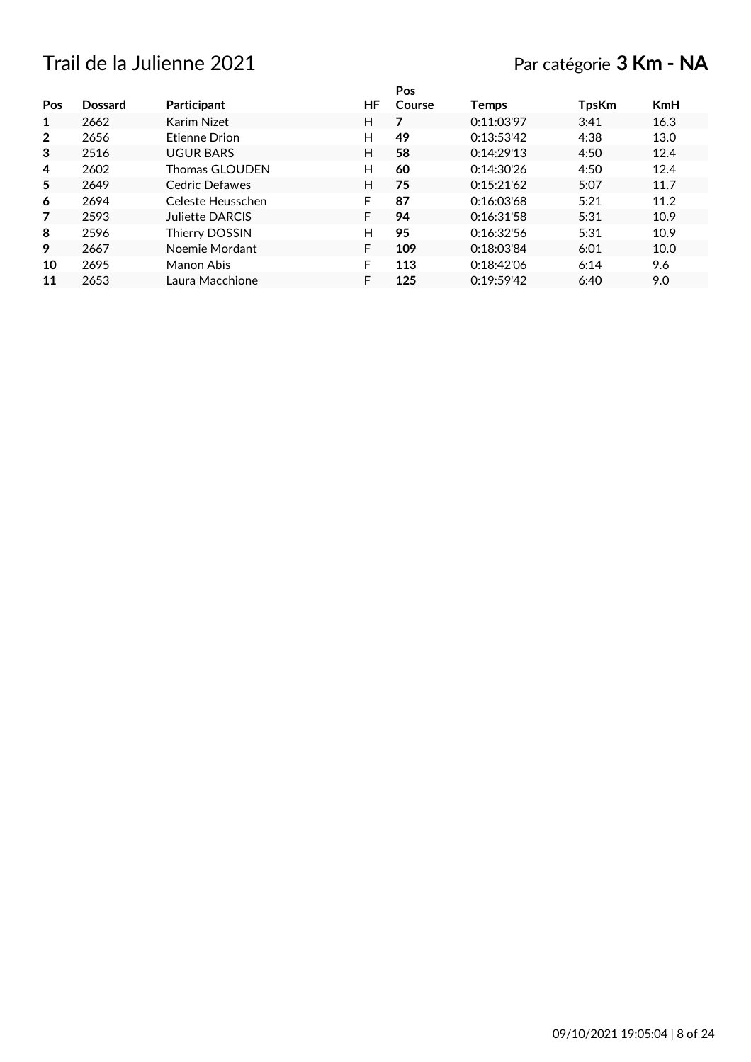## Trail de la Julienne 2021 Par catégorie **3 Km - NA**

|                |         |                   |    | Pos    |              |              |            |
|----------------|---------|-------------------|----|--------|--------------|--------------|------------|
| Pos            | Dossard | Participant       | HF | Course | <b>Temps</b> | <b>TpsKm</b> | <b>KmH</b> |
| 1              | 2662    | Karim Nizet       | н  | 7      | 0:11:03'97   | 3:41         | 16.3       |
| $\overline{2}$ | 2656    | Etienne Drion     | н  | 49     | 0:13:53'42   | 4:38         | 13.0       |
| 3              | 2516    | <b>UGUR BARS</b>  | н  | 58     | 0:14:29'13   | 4:50         | 12.4       |
| 4              | 2602    | Thomas GLOUDEN    | н  | 60     | 0:14:30'26   | 4:50         | 12.4       |
| 5              | 2649    | Cedric Defawes    | н  | 75     | 0:15:21'62   | 5:07         | 11.7       |
| 6              | 2694    | Celeste Heusschen | F  | 87     | 0:16:03'68   | 5:21         | 11.2       |
| 7              | 2593    | Juliette DARCIS   | F  | 94     | 0:16:31'58   | 5:31         | 10.9       |
| 8              | 2596    | Thierry DOSSIN    | н  | 95     | 0:16:32:56   | 5:31         | 10.9       |
| 9              | 2667    | Noemie Mordant    | F  | 109    | 0:18:03'84   | 6:01         | 10.0       |
| 10             | 2695    | Manon Abis        | F  | 113    | 0:18:42'06   | 6:14         | 9.6        |
| 11             | 2653    | Laura Macchione   | F  | 125    | 0:19:59'42   | 6:40         | 9.0        |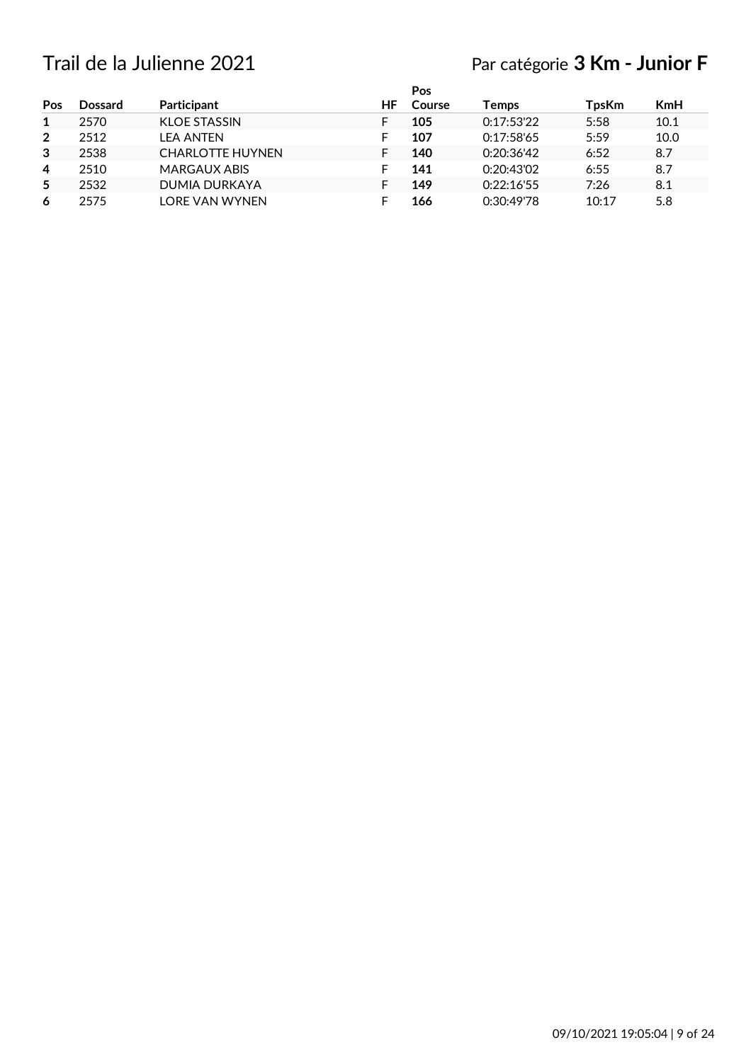## Trail de la Julienne 2021 Par catégorie **3 Km - Junior F**

|                |                |                         |    | Pos    |            |              |            |
|----------------|----------------|-------------------------|----|--------|------------|--------------|------------|
| Pos            | <b>Dossard</b> | Participant             | ΗF | Course | Temps      | <b>TpsKm</b> | <b>KmH</b> |
|                | 2570           | <b>KLOE STASSIN</b>     | F  | 105    | 0:17:53'22 | 5:58         | 10.1       |
| $\overline{2}$ | 2512           | LEA ANTEN               | F  | 107    | 0:17:58'65 | 5:59         | 10.0       |
| $\mathbf{3}$   | 2538           | <b>CHARLOTTE HUYNEN</b> | F  | 140    | 0:20:36'42 | 6:52         | 8.7        |
| 4              | 2510           | <b>MARGAUX ABIS</b>     | F  | 141    | 0:20:43'02 | 6:55         | 8.7        |
| 5              | 2532           | DUMIA DURKAYA           |    | 149    | 0:22:16'55 | 7:26         | 8.1        |
| 6              | 2575           | LORF VAN WYNFN          |    | 166    | 0:30:49'78 | 10:17        | 5.8        |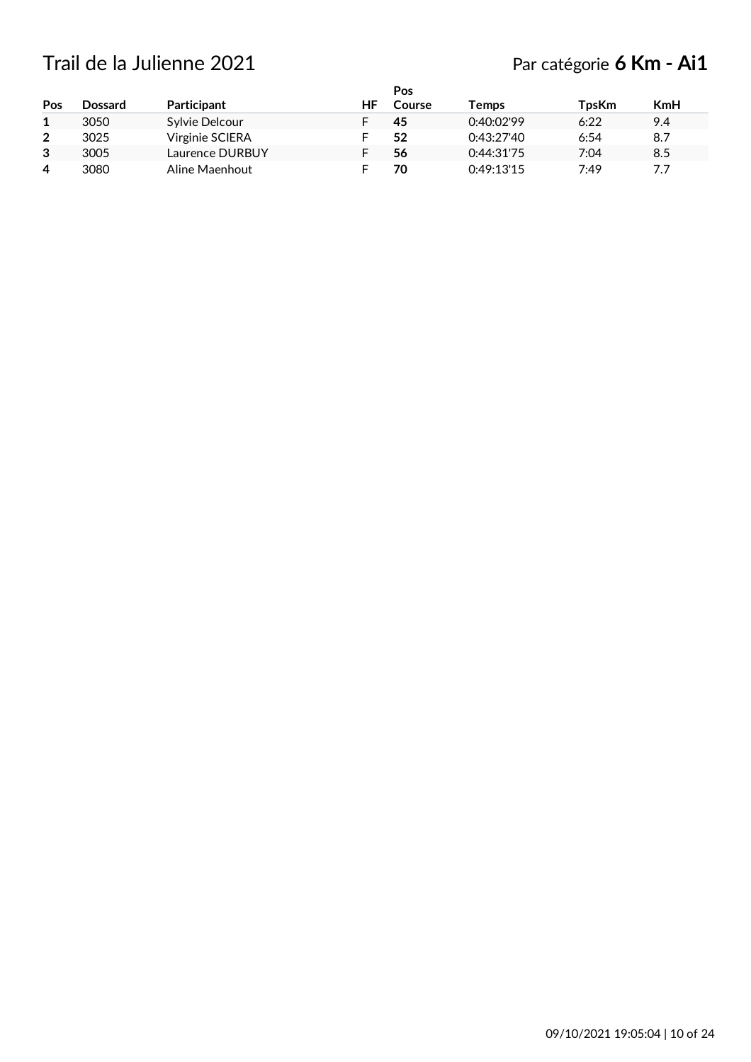## Trail de la Julienne 2021 Par catégorie **6 Km - Ai1**

| Pos            | <b>Dossard</b> | Participant     | HF | Pos<br>Course | Temps      | <b>TpsKm</b> | KmH |
|----------------|----------------|-----------------|----|---------------|------------|--------------|-----|
|                | 3050           | Sylvie Delcour  |    | 45            | 0:40:02'99 | 6:22         | 9.4 |
| $\overline{2}$ | 3025           | Virginie SCIERA |    | 52            | 0:43:27'40 | 6:54         | 8.7 |
| 3              | 3005           | Laurence DURBUY |    | 56            | 0:44:31'75 | 7:04         | 8.5 |
| $\overline{4}$ | 3080           | Aline Maenhout  |    | 70            | 0:49:13'15 | 7:49         | 7.7 |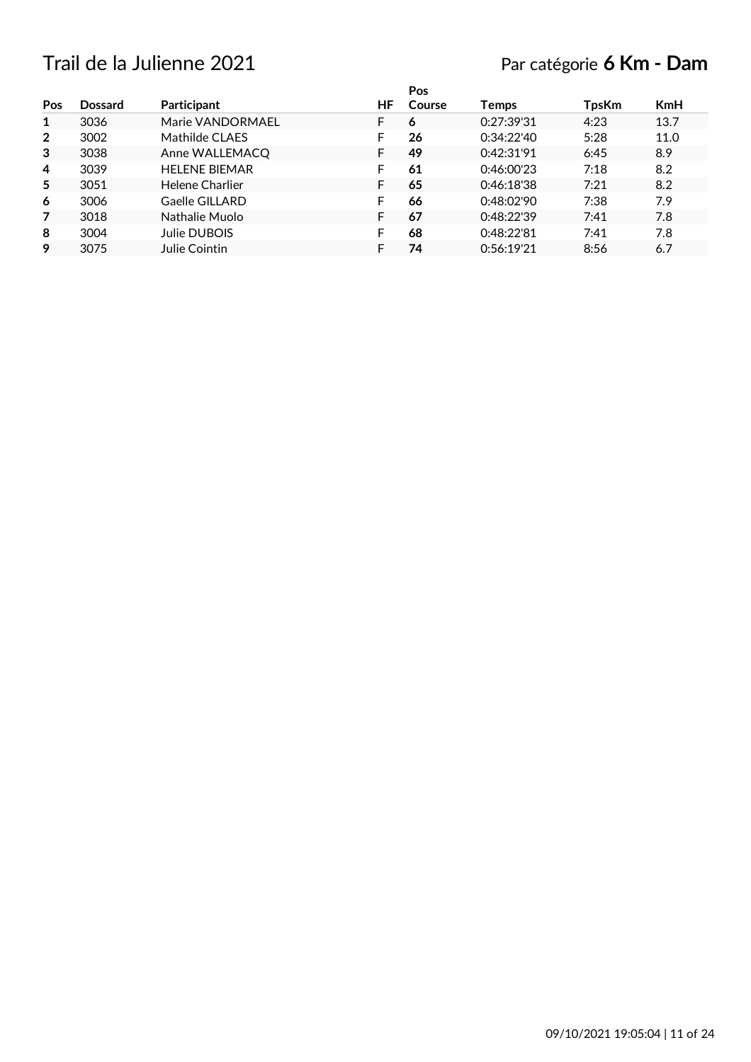## Trail de la Julienne 2021 Par catégorie **6 Km - Dam**

|                |                |                      |    | <b>Pos</b> |            |              |            |
|----------------|----------------|----------------------|----|------------|------------|--------------|------------|
| Pos            | <b>Dossard</b> | Participant          | ΗF | Course     | Temps      | <b>TpsKm</b> | <b>KmH</b> |
| 1              | 3036           | Marie VANDORMAEL     |    | 6          | 0:27:39'31 | 4:23         | 13.7       |
| $\overline{2}$ | 3002           | Mathilde CLAES       |    | 26         | 0:34:22'40 | 5:28         | 11.0       |
| 3              | 3038           | Anne WALLEMACQ       |    | 49         | 0:42:31'91 | 6:45         | 8.9        |
| 4              | 3039           | <b>HELENE BIEMAR</b> |    | 61         | 0:46:00'23 | 7:18         | 8.2        |
| 5              | 3051           | Helene Charlier      |    | 65         | 0:46:18'38 | 7:21         | 8.2        |
| 6              | 3006           | Gaelle GILLARD       |    | 66         | 0:48:02'90 | 7:38         | 7.9        |
| 7              | 3018           | Nathalie Muolo       |    | 67         | 0.48:22.39 | 7:41         | 7.8        |
| 8              | 3004           | Julie DUBOIS         |    | 68         | 0:48:22'81 | 7:41         | 7.8        |
| 9              | 3075           | Julie Cointin        |    | 74         | 0:56:19'21 | 8:56         | 6.7        |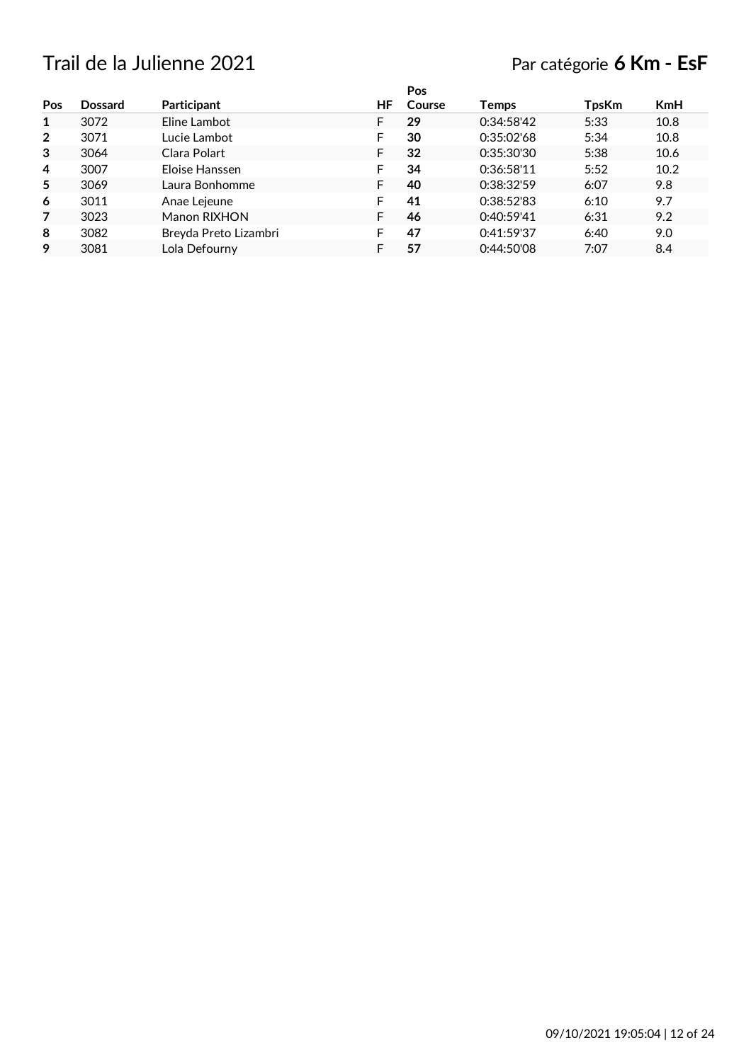## Trail de la Julienne 2021 Par catégorie **6 Km - EsF**

|                |                |                       |    | Pos    |              |              |            |
|----------------|----------------|-----------------------|----|--------|--------------|--------------|------------|
| Pos            | <b>Dossard</b> | Participant           | ΗF | Course | <b>Temps</b> | <b>TpsKm</b> | <b>KmH</b> |
| 1              | 3072           | Eline Lambot          |    | 29     | 0:34:58'42   | 5:33         | 10.8       |
| $\mathbf{2}$   | 3071           | Lucie Lambot          | F  | 30     | 0:35:02'68   | 5:34         | 10.8       |
| 3              | 3064           | Clara Polart          | F  | 32     | 0:35:30'30   | 5:38         | 10.6       |
| 4              | 3007           | Eloise Hanssen        |    | 34     | 0:36:58'11   | 5:52         | 10.2       |
| 5              | 3069           | Laura Bonhomme        |    | 40     | 0:38:32'59   | 6:07         | 9.8        |
| 6              | 3011           | Anae Lejeune          |    | 41     | 0:38:52'83   | 6:10         | 9.7        |
| $\overline{7}$ | 3023           | Manon RIXHON          | F  | 46     | 0:40:59'41   | 6:31         | 9.2        |
| 8              | 3082           | Breyda Preto Lizambri |    | 47     | 0:41:59'37   | 6:40         | 9.0        |
| 9              | 3081           | Lola Defourny         |    | 57     | 0:44:50'08   | 7:07         | 8.4        |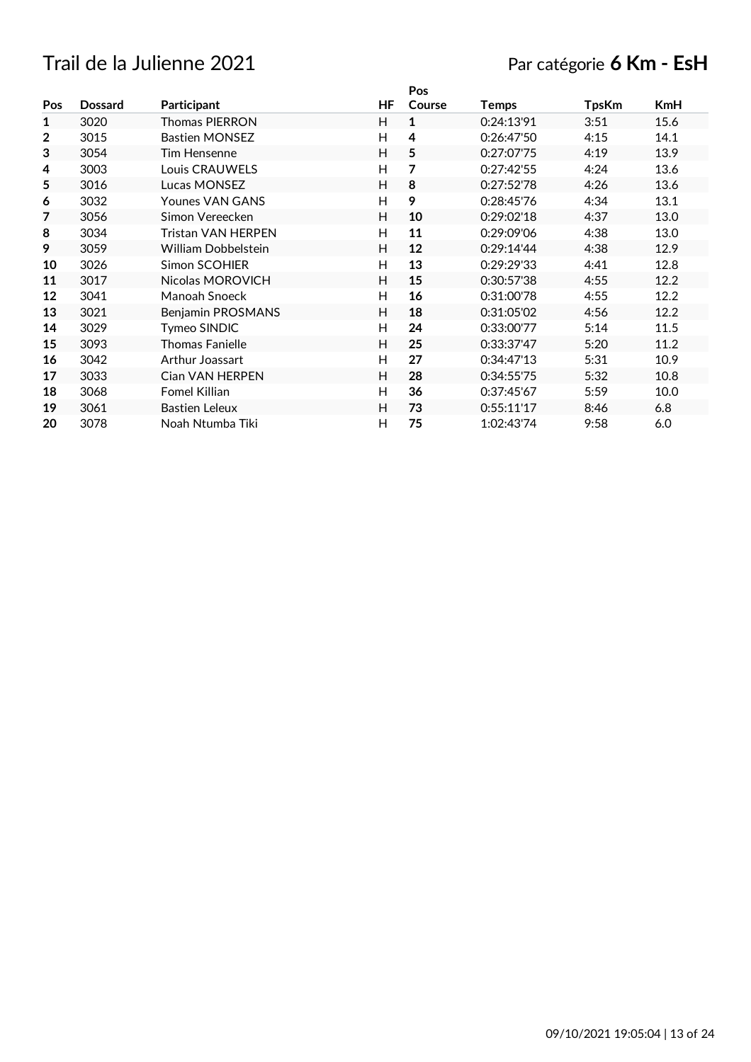## Trail de la Julienne 2021 Par catégorie **6 Km - EsH**

|                |                |                           |    | Pos                     |            |              |            |
|----------------|----------------|---------------------------|----|-------------------------|------------|--------------|------------|
| Pos            | <b>Dossard</b> | Participant               | ΗF | Course                  | Temps      | <b>TpsKm</b> | <b>KmH</b> |
| 1              | 3020           | Thomas PIERRON            | H  | 1                       | 0:24:13'91 | 3:51         | 15.6       |
| $\overline{2}$ | 3015           | <b>Bastien MONSEZ</b>     | H  | $\overline{\mathbf{4}}$ | 0:26:47'50 | 4:15         | 14.1       |
| 3              | 3054           | Tim Hensenne              | H  | 5                       | 0:27:07'75 | 4:19         | 13.9       |
| 4              | 3003           | Louis CRAUWELS            | Н  | 7                       | 0:27:42'55 | 4:24         | 13.6       |
| 5              | 3016           | Lucas MONSEZ              | H  | 8                       | 0:27:52'78 | 4:26         | 13.6       |
| 6              | 3032           | Younes VAN GANS           | H  | 9                       | 0:28:45'76 | 4:34         | 13.1       |
| 7              | 3056           | Simon Vereecken           | H  | 10                      | 0:29:02'18 | 4:37         | 13.0       |
| 8              | 3034           | <b>Tristan VAN HERPEN</b> | H  | 11                      | 0:29:09'06 | 4:38         | 13.0       |
| 9              | 3059           | William Dobbelstein       | H  | 12                      | 0:29:14'44 | 4:38         | 12.9       |
| 10             | 3026           | <b>Simon SCOHIER</b>      | H  | 13                      | 0:29:29'33 | 4:41         | 12.8       |
| 11             | 3017           | Nicolas MOROVICH          | H  | 15                      | 0:30:57'38 | 4:55         | 12.2       |
| 12             | 3041           | Manoah Snoeck             | H  | 16                      | 0:31:00'78 | 4:55         | 12.2       |
| 13             | 3021           | Benjamin PROSMANS         | H  | 18                      | 0:31:05'02 | 4:56         | 12.2       |
| 14             | 3029           | Tymeo SINDIC              | H  | 24                      | 0:33:00'77 | 5:14         | 11.5       |
| 15             | 3093           | <b>Thomas Fanielle</b>    | H  | 25                      | 0:33:37'47 | 5:20         | 11.2       |
| 16             | 3042           | Arthur Joassart           | H  | 27                      | 0:34:47'13 | 5:31         | 10.9       |
| 17             | 3033           | <b>Cian VAN HERPEN</b>    | H  | 28                      | 0:34:55'75 | 5:32         | 10.8       |
| 18             | 3068           | Fomel Killian             | H  | 36                      | 0:37:45'67 | 5:59         | 10.0       |
| 19             | 3061           | <b>Bastien Leleux</b>     | H  | 73                      | 0:55:11'17 | 8:46         | 6.8        |
| 20             | 3078           | Noah Ntumba Tiki          | H  | 75                      | 1:02:43'74 | 9:58         | 6.0        |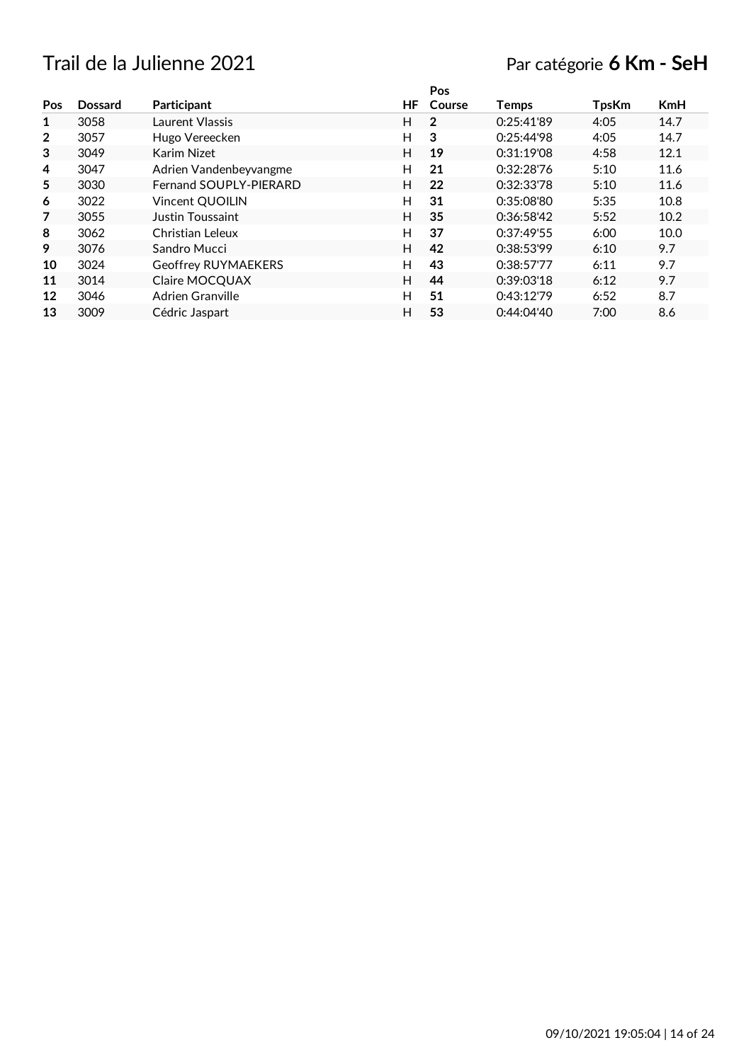## Trail de la Julienne 2021 Par catégorie **6 Km - SeH**

|                |                |                        |    | Pos            |              |              |            |
|----------------|----------------|------------------------|----|----------------|--------------|--------------|------------|
| Pos            | <b>Dossard</b> | Participant            | ΗF | Course         | <b>Temps</b> | <b>TpsKm</b> | <b>KmH</b> |
| 1              | 3058           | Laurent Vlassis        | H. | $\overline{2}$ | 0:25:41'89   | 4:05         | 14.7       |
| $\overline{2}$ | 3057           | Hugo Vereecken         | H  | 3              | 0:25:44'98   | 4:05         | 14.7       |
| 3              | 3049           | Karim Nizet            | H  | 19             | 0:31:19'08   | 4:58         | 12.1       |
| 4              | 3047           | Adrien Vandenbeyvangme | H  | 21             | 0:32:28'76   | 5:10         | 11.6       |
| 5              | 3030           | Fernand SOUPLY-PIERARD | H. | 22             | 0:32:33'78   | 5:10         | 11.6       |
| 6              | 3022           | Vincent QUOILIN        | H  | 31             | 0:35:08'80   | 5:35         | 10.8       |
| 7              | 3055           | Justin Toussaint       | H  | 35             | 0:36:58'42   | 5:52         | 10.2       |
| 8              | 3062           | Christian Leleux       | H  | 37             | 0:37:49'55   | 6:00         | 10.0       |
| 9              | 3076           | Sandro Mucci           | H  | 42             | 0:38:53'99   | 6:10         | 9.7        |
| 10             | 3024           | Geoffrey RUYMAEKERS    | H  | 43             | 0:38:57'77   | 6:11         | 9.7        |
| 11             | 3014           | Claire MOCQUAX         | H. | 44             | 0:39:03'18   | 6:12         | 9.7        |
| 12             | 3046           | Adrien Granville       | H  | 51             | 0:43:12'79   | 6:52         | 8.7        |
| 13             | 3009           | Cédric Jaspart         | н  | 53             | 0:44:04'40   | 7:00         | 8.6        |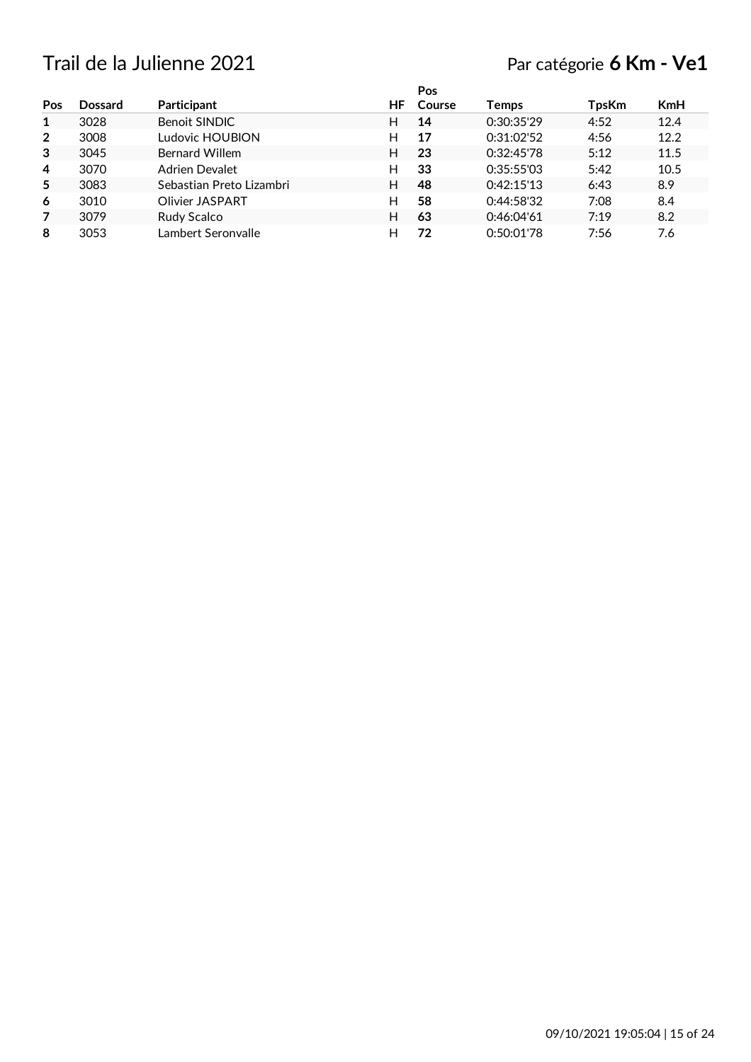## Trail de la Julienne 2021 Par catégorie **6 Km - Ve1**

|                |                |                          |     | Pos    |            |       |            |
|----------------|----------------|--------------------------|-----|--------|------------|-------|------------|
| Pos            | <b>Dossard</b> | Participant              | HF. | Course | Temps      | TpsKm | <b>KmH</b> |
| 1              | 3028           | <b>Benoit SINDIC</b>     | н   | 14     | 0:30:35'29 | 4:52  | 12.4       |
| $\overline{2}$ | 3008           | Ludovic HOUBION          | н   | 17     | 0:31:02'52 | 4:56  | 12.2       |
| 3              | 3045           | <b>Bernard Willem</b>    | н   | 23     | 0:32:45'78 | 5:12  | 11.5       |
| 4              | 3070           | Adrien Devalet           | н   | 33     | 0:35:55'03 | 5:42  | 10.5       |
| 5              | 3083           | Sebastian Preto Lizambri | н   | 48     | 0:42:15'13 | 6:43  | 8.9        |
| 6              | 3010           | Olivier JASPART          | н   | 58     | 0:44:58'32 | 7:08  | 8.4        |
| 7              | 3079           | Rudy Scalco              | н   | 63     | 0:46:04'61 | 7:19  | 8.2        |
| 8              | 3053           | Lambert Seronvalle       | н   | 72     | 0:50:01'78 | 7:56  | 7.6        |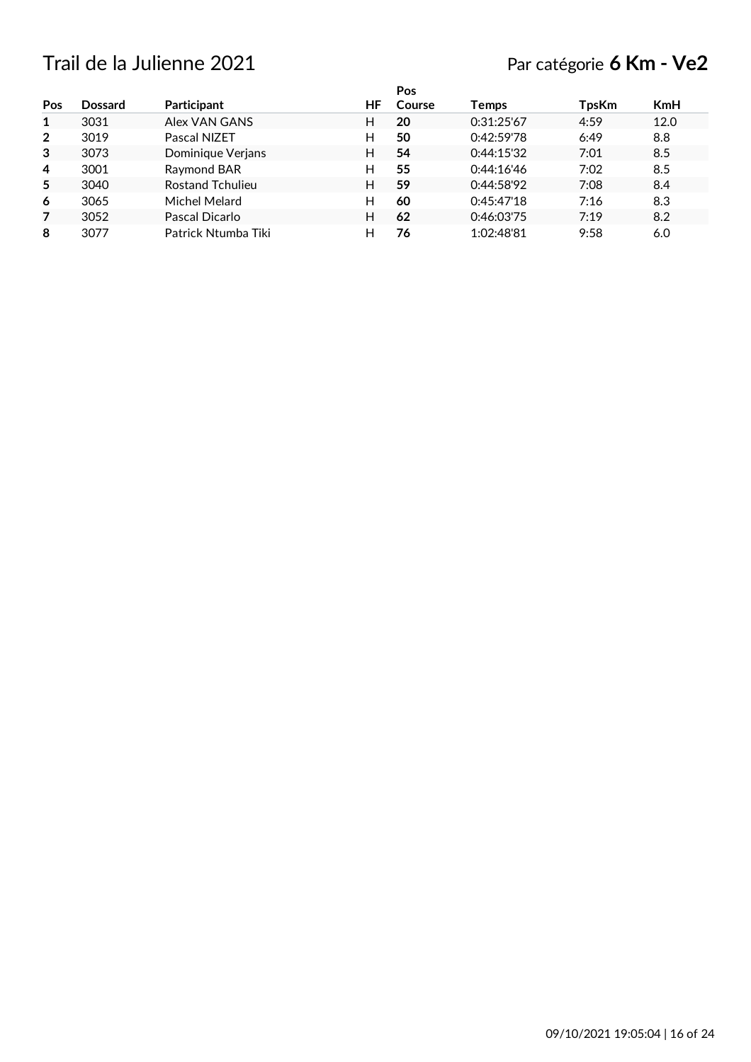## Trail de la Julienne 2021 Par catégorie **6 Km - Ve2**

|                |                |                         |     | Pos    |            |       |            |
|----------------|----------------|-------------------------|-----|--------|------------|-------|------------|
| Pos            | <b>Dossard</b> | Participant             | HF. | Course | Temps      | TpsKm | <b>KmH</b> |
| 1              | 3031           | Alex VAN GANS           | н   | 20     | 0:31:25'67 | 4:59  | 12.0       |
| $\overline{2}$ | 3019           | Pascal NIZET            | н   | 50     | 0:42:59'78 | 6:49  | 8.8        |
| 3              | 3073           | Dominique Verjans       | н   | 54     | 0:44:15'32 | 7:01  | 8.5        |
| 4              | 3001           | Raymond BAR             | н   | 55     | 0:44:16'46 | 7:02  | 8.5        |
| 5              | 3040           | <b>Rostand Tchulieu</b> | н   | 59     | 0:44:58'92 | 7:08  | 8.4        |
| 6              | 3065           | Michel Melard           | н   | 60     | 0:45:47'18 | 7:16  | 8.3        |
| 7              | 3052           | Pascal Dicarlo          | н   | 62     | 0:46:03'75 | 7:19  | 8.2        |
| 8              | 3077           | Patrick Ntumba Tiki     | н   | 76     | 1:02:48'81 | 9:58  | 6.0        |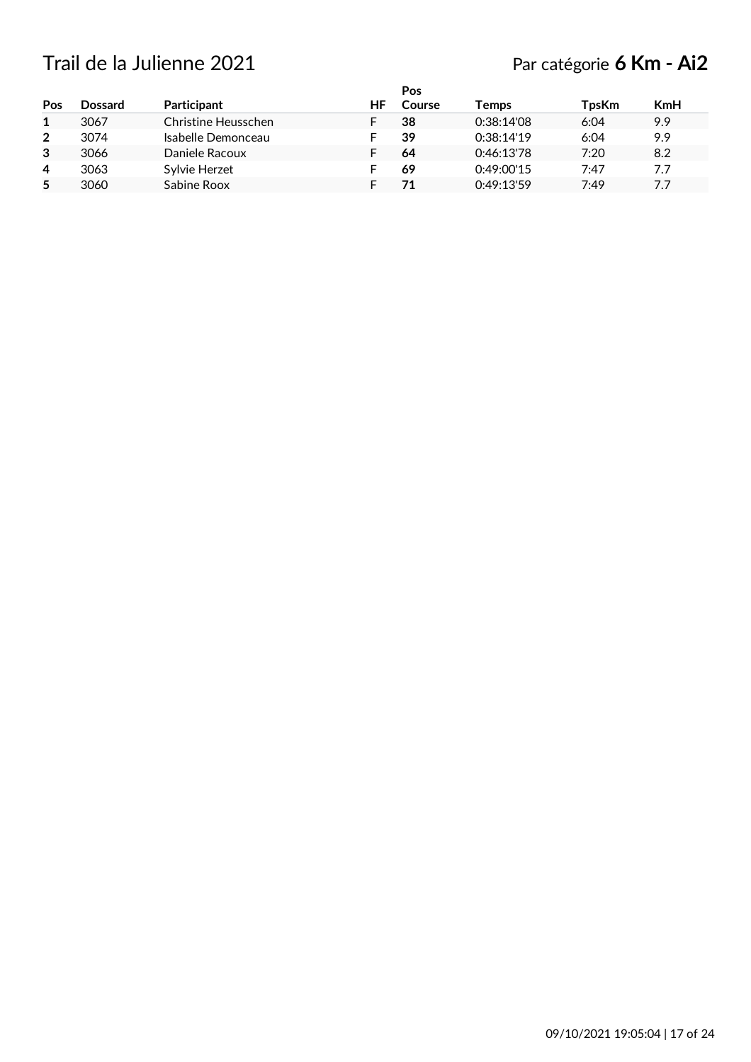## Trail de la Julienne 2021 Par catégorie **6 Km - Ai2**

|                |                |                     |    | <b>Pos</b> |            |              |            |
|----------------|----------------|---------------------|----|------------|------------|--------------|------------|
| Pos            | <b>Dossard</b> | Participant         | ΗF | Course     | Temps      | <b>TpsKm</b> | <b>KmH</b> |
| 1              | 3067           | Christine Heusschen |    | 38         | 0:38:14'08 | 6:04         | 9.9        |
| $\overline{2}$ | 3074           | Isabelle Demonceau  |    | 39         | 0:38:14'19 | 6:04         | 9.9        |
| 3              | 3066           | Daniele Racoux      |    | 64         | 0:46:13'78 | 7:20         | 8.2        |
| $\overline{a}$ | 3063           | Sylvie Herzet       |    | 69         | 0:49:00'15 | 7:47         | 7.7        |
| 5              | 3060           | Sabine Roox         |    | 71         | 0:49:13'59 | 7:49         | 7.7        |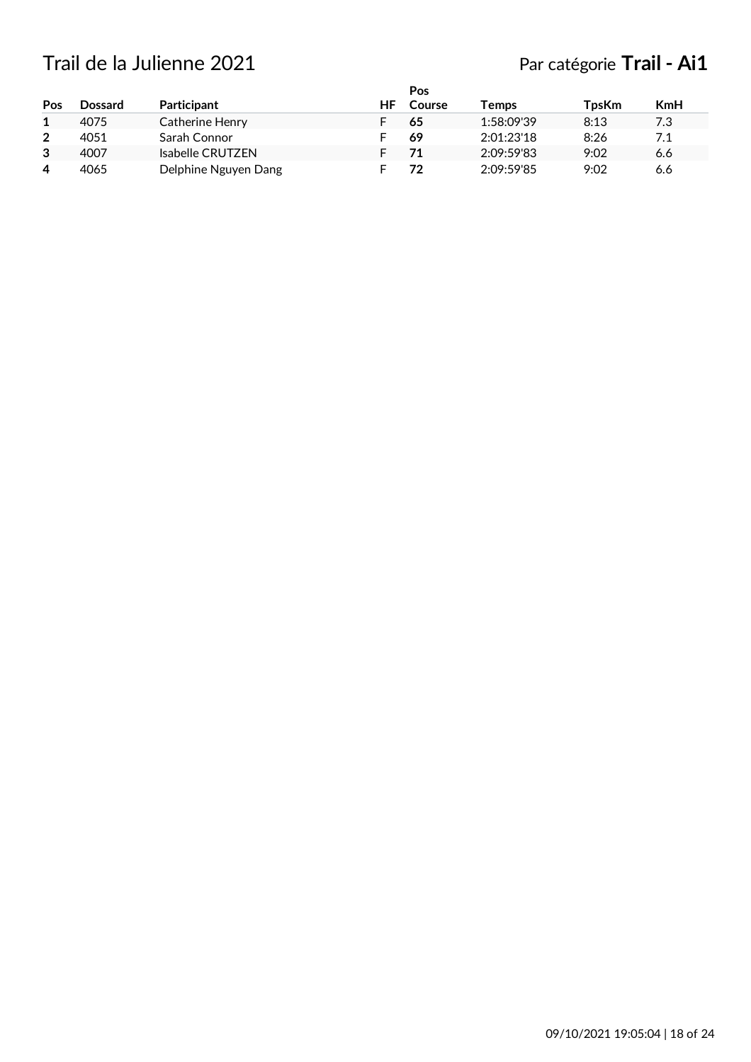# Trail de la Julienne 2021 **Par catégorie Trail - Ai1**

| Pos            | <b>Dossard</b> | Participant          | HF | Pos<br>Course | Temps      | TpsKm | KmH |
|----------------|----------------|----------------------|----|---------------|------------|-------|-----|
|                | 4075           | Catherine Henry      |    | 65            | 1:58:09'39 | 8:13  | 7.3 |
| $\overline{2}$ | 4051           | Sarah Connor         |    | 69            | 2:01:23'18 | 8:26  | 7.1 |
| 3              | 4007           | Isabelle CRUTZEN     |    | 71            | 2:09:59'83 | 9:02  | 6.6 |
| 4              | 4065           | Delphine Nguyen Dang |    | 72            | 2:09:59'85 | 9:02  | 6.6 |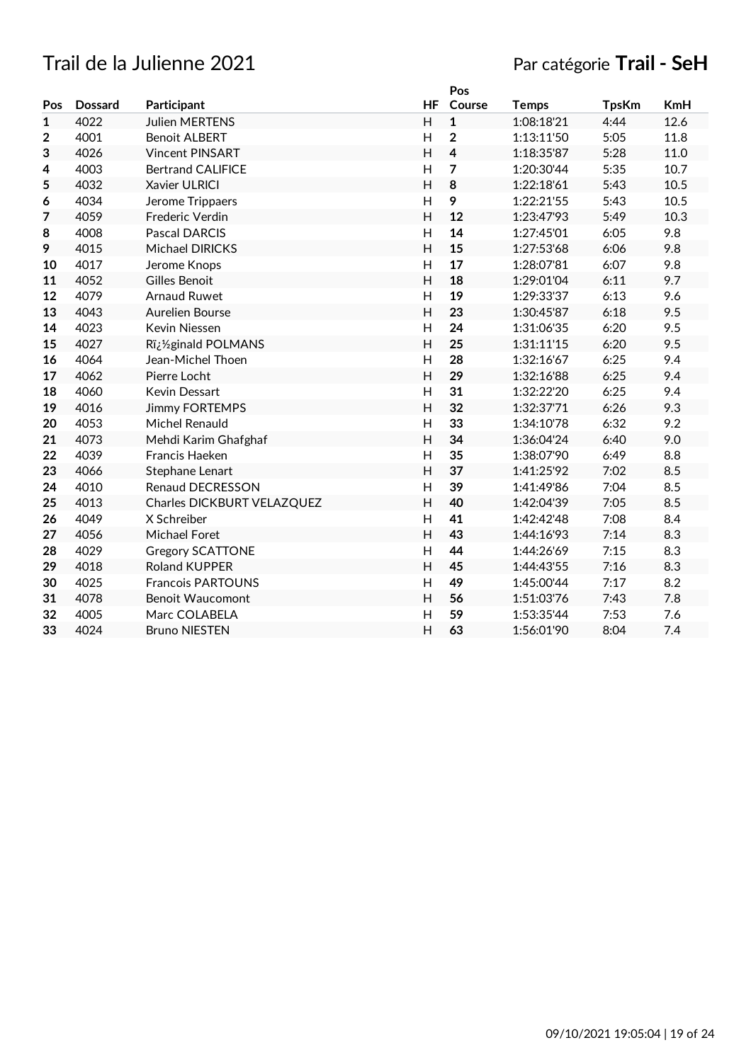## Trail de la Julienne 2021 Par catégorie **Trail - SeH**

|                |                |                            |                | Pos            |              |              |            |
|----------------|----------------|----------------------------|----------------|----------------|--------------|--------------|------------|
| Pos            | <b>Dossard</b> | Participant                | <b>HF</b>      | Course         | <b>Temps</b> | <b>TpsKm</b> | <b>KmH</b> |
| 1              | 4022           | <b>Julien MERTENS</b>      | H              | 1              | 1:08:18'21   | 4:44         | 12.6       |
| $\overline{2}$ | 4001           | <b>Benoit ALBERT</b>       | H              | $\overline{2}$ | 1:13:11'50   | 5:05         | 11.8       |
| 3              | 4026           | <b>Vincent PINSART</b>     | H              | 4              | 1:18:35'87   | 5:28         | 11.0       |
| 4              | 4003           | <b>Bertrand CALIFICE</b>   | H              | 7              | 1:20:30'44   | 5:35         | 10.7       |
| 5              | 4032           | Xavier ULRICI              | $\overline{H}$ | 8              | 1:22:18'61   | 5:43         | 10.5       |
| 6              | 4034           | Jerome Trippaers           | H              | 9              | 1:22:21'55   | 5:43         | 10.5       |
| 7              | 4059           | Frederic Verdin            | H              | 12             | 1:23:47'93   | 5:49         | 10.3       |
| 8              | 4008           | <b>Pascal DARCIS</b>       | H              | 14             | 1:27:45'01   | 6:05         | 9.8        |
| 9              | 4015           | <b>Michael DIRICKS</b>     | H              | 15             | 1:27:53'68   | 6:06         | 9.8        |
| 10             | 4017           | Jerome Knops               | $\overline{H}$ | 17             | 1:28:07'81   | 6:07         | 9.8        |
| 11             | 4052           | Gilles Benoit              | $\overline{H}$ | 18             | 1:29:01'04   | 6:11         | 9.7        |
| 12             | 4079           | <b>Arnaud Ruwet</b>        | H              | 19             | 1:29:33'37   | 6:13         | 9.6        |
| 13             | 4043           | Aurelien Bourse            | $\overline{H}$ | 23             | 1:30:45'87   | 6:18         | 9.5        |
| 14             | 4023           | Kevin Niessen              | H              | 24             | 1:31:06'35   | 6:20         | 9.5        |
| 15             | 4027           | R�ginald POLMANS           | H              | 25             | 1:31:11'15   | 6:20         | 9.5        |
| 16             | 4064           | Jean-Michel Thoen          | H              | 28             | 1:32:16'67   | 6:25         | 9.4        |
| 17             | 4062           | Pierre Locht               | H              | 29             | 1:32:16'88   | 6:25         | 9.4        |
| 18             | 4060           | Kevin Dessart              | H              | 31             | 1:32:22'20   | 6:25         | 9.4        |
| 19             | 4016           | <b>Jimmy FORTEMPS</b>      | $\overline{H}$ | 32             | 1:32:37'71   | 6:26         | 9.3        |
| 20             | 4053           | Michel Renauld             | H              | 33             | 1:34:10'78   | 6:32         | 9.2        |
| 21             | 4073           | Mehdi Karim Ghafghaf       | H              | 34             | 1:36:04'24   | 6:40         | 9.0        |
| 22             | 4039           | Francis Haeken             | H              | 35             | 1:38:07'90   | 6:49         | 8.8        |
| 23             | 4066           | Stephane Lenart            | H              | 37             | 1:41:25'92   | 7:02         | 8.5        |
| 24             | 4010           | Renaud DECRESSON           | H              | 39             | 1:41:49'86   | 7:04         | 8.5        |
| 25             | 4013           | Charles DICKBURT VELAZQUEZ | $\overline{H}$ | 40             | 1:42:04'39   | 7:05         | 8.5        |
| 26             | 4049           | X Schreiber                | H              | 41             | 1:42:42'48   | 7:08         | 8.4        |
| 27             | 4056           | Michael Foret              | H              | 43             | 1:44:16'93   | 7:14         | 8.3        |
| 28             | 4029           | <b>Gregory SCATTONE</b>    | H              | 44             | 1:44:26'69   | 7:15         | 8.3        |
| 29             | 4018           | <b>Roland KUPPER</b>       | H              | 45             | 1:44:43'55   | 7:16         | 8.3        |
| 30             | 4025           | <b>Francois PARTOUNS</b>   | $\overline{H}$ | 49             | 1:45:00'44   | 7:17         | 8.2        |
| 31             | 4078           | <b>Benoit Waucomont</b>    | $\overline{H}$ | 56             | 1:51:03'76   | 7:43         | 7.8        |
| 32             | 4005           | Marc COLABELA              | $\overline{H}$ | 59             | 1:53:35'44   | 7:53         | 7.6        |
| 33             | 4024           | <b>Bruno NIESTEN</b>       | $\overline{H}$ | 63             | 1:56:01'90   | 8:04         | 7.4        |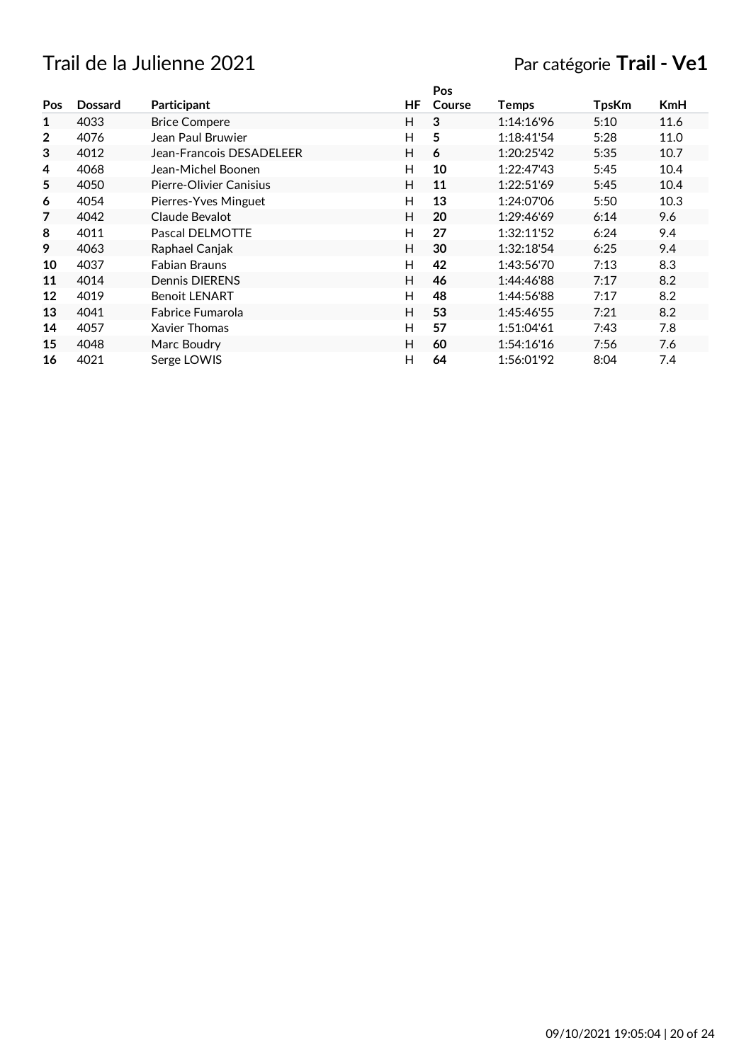## Trail de la Julienne 2021 **Par catégorie Trail - Ve1**

|                |                |                          |    | Pos    |            |              |            |
|----------------|----------------|--------------------------|----|--------|------------|--------------|------------|
| Pos            | <b>Dossard</b> | Participant              | HF | Course | Temps      | <b>TpsKm</b> | <b>KmH</b> |
| 1              | 4033           | <b>Brice Compere</b>     | H  | 3      | 1:14:16'96 | 5:10         | 11.6       |
| $\overline{2}$ | 4076           | Jean Paul Bruwier        | H  | 5      | 1:18:41'54 | 5:28         | 11.0       |
| 3              | 4012           | Jean-Francois DESADELEER | H  | 6      | 1:20:25'42 | 5:35         | 10.7       |
| 4              | 4068           | Jean-Michel Boonen       | H  | 10     | 1:22:47'43 | 5:45         | 10.4       |
| 5              | 4050           | Pierre-Olivier Canisius  | H  | 11     | 1:22:51'69 | 5:45         | 10.4       |
| 6              | 4054           | Pierres-Yves Minguet     | H  | 13     | 1:24:07'06 | 5:50         | 10.3       |
| 7              | 4042           | Claude Bevalot           | H  | 20     | 1:29:46'69 | 6:14         | 9.6        |
| 8              | 4011           | Pascal DELMOTTE          | H  | 27     | 1:32:11'52 | 6:24         | 9.4        |
| 9              | 4063           | Raphael Canjak           | H  | 30     | 1:32:18'54 | 6:25         | 9.4        |
| 10             | 4037           | <b>Fabian Brauns</b>     | H  | 42     | 1:43:56'70 | 7:13         | 8.3        |
| 11             | 4014           | Dennis DIERENS           | H  | 46     | 1:44:46'88 | 7:17         | 8.2        |
| 12             | 4019           | <b>Benoit LENART</b>     | H  | 48     | 1:44:56'88 | 7:17         | 8.2        |
| 13             | 4041           | Fabrice Fumarola         | H  | 53     | 1:45:46'55 | 7:21         | 8.2        |
| 14             | 4057           | Xavier Thomas            | H  | 57     | 1:51:04'61 | 7:43         | 7.8        |
| 15             | 4048           | Marc Boudry              | H  | 60     | 1:54:16'16 | 7:56         | 7.6        |
| 16             | 4021           | Serge LOWIS              | H  | 64     | 1:56:01'92 | 8:04         | 7.4        |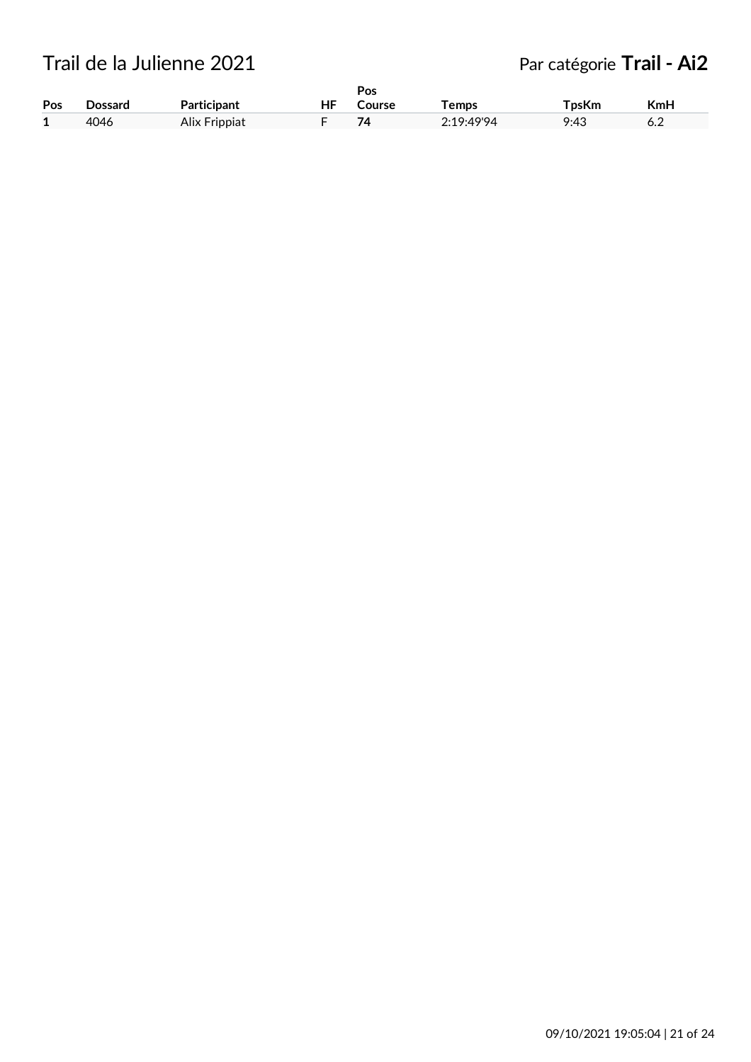Trail de la Julienne 2021 **Par catégorie Trail - Ai2** 

|     |         |               |    | Pos    |                   |       |     |
|-----|---------|---------------|----|--------|-------------------|-------|-----|
| Pos | Dossard | Participant   | ΗF | Course | <sup>-</sup> emps | TpsKm | KmH |
| 1   | 4046    | Alix Frippiat |    | 74     | 2.19.4994         | 9:43  | o.z |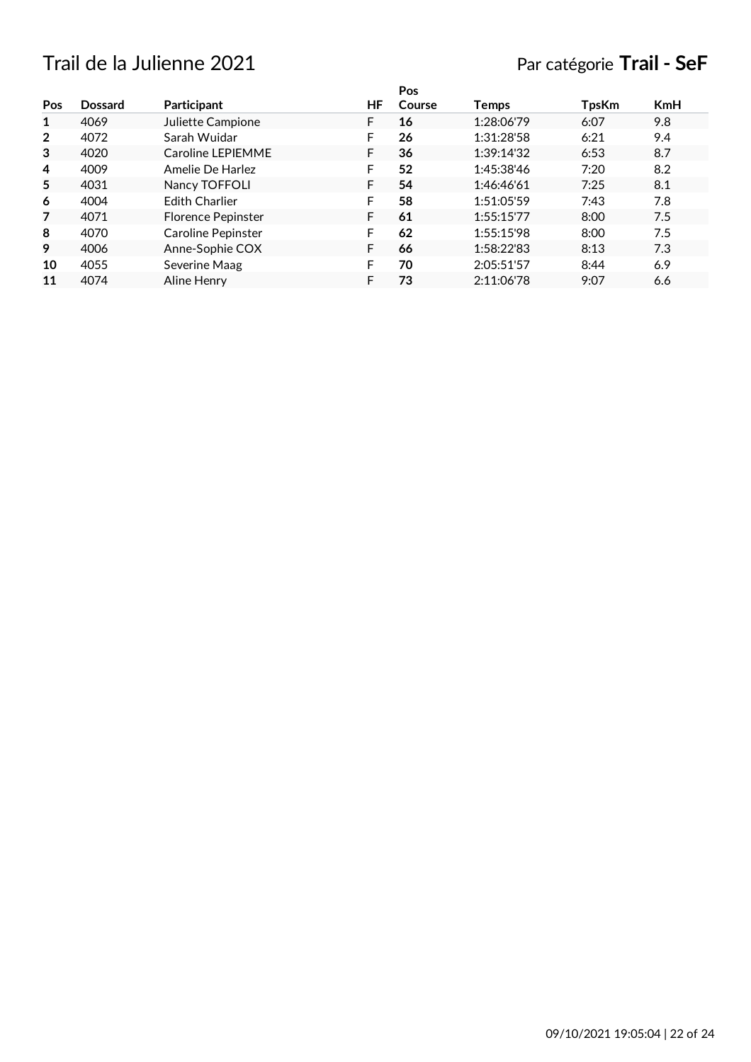# Trail de la Julienne 2021 Par catégorie **Trail - SeF**

|                |                |                           |    | Pos    |            |              |            |
|----------------|----------------|---------------------------|----|--------|------------|--------------|------------|
| Pos            | <b>Dossard</b> | <b>Participant</b>        | ΗF | Course | Temps      | <b>TpsKm</b> | <b>KmH</b> |
| 1              | 4069           | Juliette Campione         | F  | 16     | 1:28:06'79 | 6:07         | 9.8        |
| $\overline{2}$ | 4072           | Sarah Wuidar              | F  | 26     | 1:31:28'58 | 6:21         | 9.4        |
| 3              | 4020           | Caroline LEPIEMME         | F  | 36     | 1:39:14'32 | 6:53         | 8.7        |
| 4              | 4009           | Amelie De Harlez          | F  | 52     | 1:45:38'46 | 7:20         | 8.2        |
| 5              | 4031           | Nancy TOFFOLI             | F  | 54     | 1:46:46'61 | 7:25         | 8.1        |
| 6              | 4004           | <b>Fdith Charlier</b>     | F  | 58     | 1:51:05'59 | 7:43         | 7.8        |
| 7              | 4071           | <b>Florence Pepinster</b> | F  | 61     | 1:55:15'77 | 8:00         | 7.5        |
| 8              | 4070           | Caroline Pepinster        | F  | 62     | 1:55:15'98 | 8:00         | 7.5        |
| 9              | 4006           | Anne-Sophie COX           | F  | 66     | 1:58:22'83 | 8:13         | 7.3        |
| 10             | 4055           | Severine Maag             | F  | 70     | 2:05:51'57 | 8:44         | 6.9        |
| 11             | 4074           | Aline Henry               |    | 73     | 2:11:06'78 | 9:07         | 6.6        |